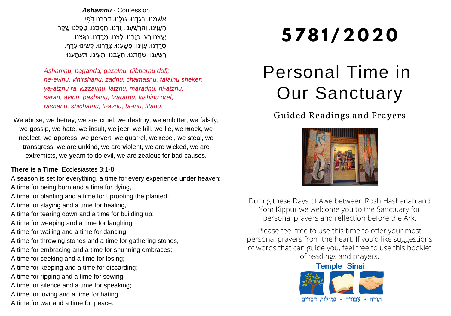*Ashamnu* - Confession ָאַשָׁמְנוּ. בָּגֶדְנוּ. גָּזֶלְנוּ. דְּבֵּרְנוּ דֹּפִי. ֶהֶעֵוִינוּ. וְהַרְשֵׁעְנוּ. זֶדְנוּ. חָמֱסְנוּ. טָפֵלְנוּ שֶׁקֵר. ַיְעֲצָנוּ רָע. כַּזֵּבְנוּ. לֵצְנוּ. מַרֵדְנוּ. נָאֱצָנוּ. ָסַרְרנוּ. עָוִינוּ. פָּשֵׁעֲנוּ. צָרֱרְנוּ. קַשִּׁינוּ עָרֶף. ָרַשֵׁעֲנוּ. שַׁחֲתָנוּ. תַּעֲבְנוּ. תַּעֵינוּ. תִּעְתֵּעְנוּ:

*Ashamnu, baganda, gazalnu, dibbarnu dofi; he-evinu, v'hirshanu, zadnu, chamasnu, tafalnu sheker; ya-atznu ra, kizzavnu, latznu, maradnu, ni-atznu; saran, avinu, pashanu, tzararnu, kishinu oref; rashanu, shichatnu, ti-avnu, ta-inu, titanu.*

We **a**buse, we **b**etray, we are **c**ruel, we **d**estroy, we **e**mbitter, we **f**alsify, we **g**ossip, we **h**ate, we **i**nsult, we **j**eer, we **k**ill, we **l**ie, we **m**ock, we **n**eglect, we **o**ppress, we **p**ervert, we **q**uarrel, we **r**ebel, we **s**teal, we **t**ransgress, we are **u**nkind, we are **v**iolent, we are **w**icked, we are e**x**tremists, we **y**earn to do evil, we are **z**ealous for bad causes.

#### **There is a Time**, Ecclesiastes 3:1-8

A season is set for everything, a time for every experience under heaven:

- A time for being born and a time for dying,
- A time for planting and a time for uprooting the planted;
- A time for slaying and a time for healing,
- A time for tearing down and a time for building up;
- A time for weeping and a time for laughing,
- A time for wailing and a time for dancing;
- A time for throwing stones and a time for gathering stones,
- A time for embracing and a time for shunning embraces;
- A time for seeking and a time for losing;
- A time for keeping and a time for discarding;
- A time for ripping and a time for sewing,
- A time for silence and a time for speaking;
- A time for loving and a time for hating;
- A time for war and a time for peace.

# **5781 / 2 0 2 0**

## Personal Time in Our Sanctuary

Guided Readings and Prayers



During these Days of Awe between Rosh Hashanah and Yom Kippur we welcome you to the Sanctuary for personal prayers and reflection before the Ark.

Please feel free to use this time to offer your most personal prayers from the heart. If you'd like suggestions of words that can guide you, feel free to use this booklet of readings and prayers.

### **Temple Sinai**